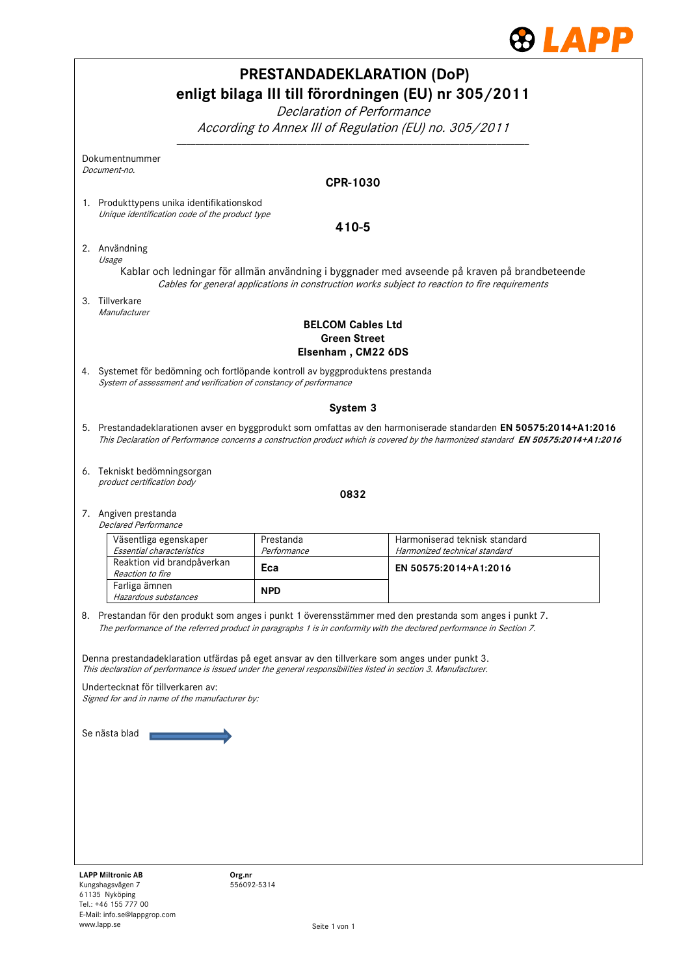

|    |                                                                                                                                                                                                                   |                       | <b>PRESTANDADEKLARATION (DoP)</b><br>enligt bilaga III till förordningen (EU) nr 305/2011<br>Declaration of Performance<br>According to Annex III of Regulation (EU) no. 305/2011                                                                      |  |  |  |  |  |
|----|-------------------------------------------------------------------------------------------------------------------------------------------------------------------------------------------------------------------|-----------------------|--------------------------------------------------------------------------------------------------------------------------------------------------------------------------------------------------------------------------------------------------------|--|--|--|--|--|
|    | Dokumentnummer                                                                                                                                                                                                    |                       |                                                                                                                                                                                                                                                        |  |  |  |  |  |
|    | Document-no.                                                                                                                                                                                                      |                       | <b>CPR-1030</b>                                                                                                                                                                                                                                        |  |  |  |  |  |
|    | 1. Produkttypens unika identifikationskod                                                                                                                                                                         |                       |                                                                                                                                                                                                                                                        |  |  |  |  |  |
|    | Unique identification code of the product type<br>410-5                                                                                                                                                           |                       |                                                                                                                                                                                                                                                        |  |  |  |  |  |
|    | 2. Användning                                                                                                                                                                                                     |                       |                                                                                                                                                                                                                                                        |  |  |  |  |  |
|    | Usage<br>Kablar och ledningar för allmän användning i byggnader med avseende på kraven på brandbeteende<br>Cables for general applications in construction works subject to reaction to fire requirements         |                       |                                                                                                                                                                                                                                                        |  |  |  |  |  |
|    | 3. Tillverkare<br>Manufacturer                                                                                                                                                                                    |                       |                                                                                                                                                                                                                                                        |  |  |  |  |  |
|    |                                                                                                                                                                                                                   |                       | <b>BELCOM Cables Ltd</b><br><b>Green Street</b><br>Elsenham, CM22 6DS                                                                                                                                                                                  |  |  |  |  |  |
|    | 4. Systemet för bedömning och fortlöpande kontroll av byggproduktens prestanda<br>System of assessment and verification of constancy of performance                                                               |                       |                                                                                                                                                                                                                                                        |  |  |  |  |  |
|    |                                                                                                                                                                                                                   |                       | System 3                                                                                                                                                                                                                                               |  |  |  |  |  |
|    |                                                                                                                                                                                                                   |                       | 5. Prestandadeklarationen avser en byggprodukt som omfattas av den harmoniserade standarden EN 50575:2014+A1:2016<br>This Declaration of Performance concerns a construction product which is covered by the harmonized standard EN 50575:2014+A1:2016 |  |  |  |  |  |
|    | 6. Tekniskt bedömningsorgan<br>product certification body                                                                                                                                                         |                       | 0832                                                                                                                                                                                                                                                   |  |  |  |  |  |
|    | 7. Angiven prestanda                                                                                                                                                                                              |                       |                                                                                                                                                                                                                                                        |  |  |  |  |  |
|    | <b>Declared Performance</b>                                                                                                                                                                                       | Prestanda             | Harmoniserad teknisk standard                                                                                                                                                                                                                          |  |  |  |  |  |
|    | Väsentliga egenskaper<br>Essential characteristics                                                                                                                                                                | Performance           | Harmonized technical standard                                                                                                                                                                                                                          |  |  |  |  |  |
|    | Reaktion vid brandpåverkan<br>Reaction to fire                                                                                                                                                                    | Eca                   | EN 50575:2014+A1:2016                                                                                                                                                                                                                                  |  |  |  |  |  |
|    | Farliga ämnen<br>Hazardous substances                                                                                                                                                                             | <b>NPD</b>            |                                                                                                                                                                                                                                                        |  |  |  |  |  |
| 8. |                                                                                                                                                                                                                   |                       | Prestandan för den produkt som anges i punkt 1 överensstämmer med den prestanda som anges i punkt 7.<br>The performance of the referred product in paragraphs 1 is in conformity with the declared performance in Section 7.                           |  |  |  |  |  |
|    | Denna prestandadeklaration utfärdas på eget ansvar av den tillverkare som anges under punkt 3.<br>This declaration of performance is issued under the general responsibilities listed in section 3. Manufacturer. |                       |                                                                                                                                                                                                                                                        |  |  |  |  |  |
|    | Undertecknat för tillverkaren av:<br>Signed for and in name of the manufacturer by:                                                                                                                               |                       |                                                                                                                                                                                                                                                        |  |  |  |  |  |
|    | Se nästa blad                                                                                                                                                                                                     |                       |                                                                                                                                                                                                                                                        |  |  |  |  |  |
|    | <b>LAPP Miltronic AB</b><br>Kungshagsvägen 7                                                                                                                                                                      | Org.nr<br>556092-5314 |                                                                                                                                                                                                                                                        |  |  |  |  |  |